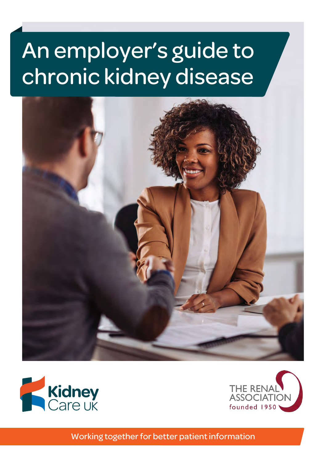# An employer's guide to chronic kidney disease







Working together for better patient information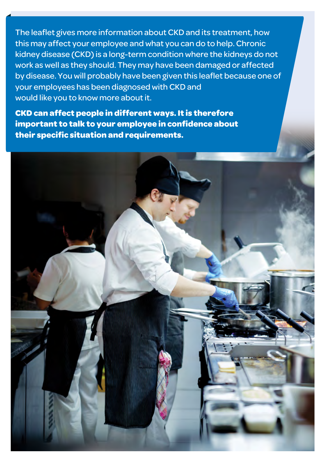The leaflet gives more information about CKD and its treatment, how this may affect your employee and what you can do to help. Chronic kidney disease (CKD) is a long-term condition where the kidneys do not work as well as they should. They may have been damaged or affected by disease. You will probably have been given this leaflet because one of your employees has been diagnosed with CKD and would like you to know more about it.

**CKD can affect people in different ways. It is therefore important to talk to your employee in confidence about their specific situation and requirements.**

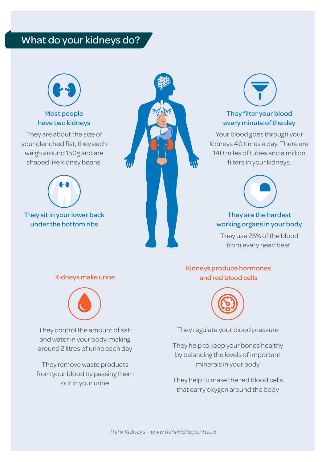# What do your kidneys do?



## Most people have two kidneys

They are about the size of your clenched fist, they each weigh around 150g and are shaped like kidney beans.



They sit in your lower back under the bottom ribs





## They filter your blood every minute of the day

Your blood goes through your kidneys 40 times a day. There are 140 miles of tubes and a million filters in your kidneys.



## They are the hardest working organs in your body

They use 25% of the blood from every heartbeat.

#### Kidneys make urine



They control the amount of salt and water in your body, making around 2 litres of urine each day

They remove waste products from your blood by passing them out in your urine

#### Kidneys produce hormones and red blood cells



They regulate your blood pressure

They help to keep your bones healthy by balancing the levels of important minerals in your body

They help to make the red blood cells that carry oxygen around the body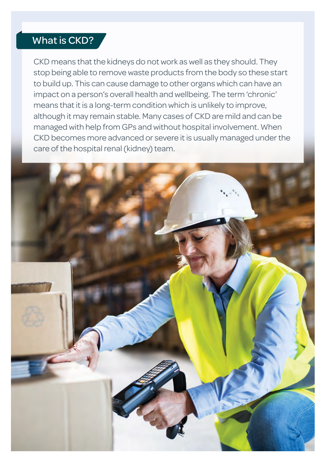# What is CKD?

CKD means that the kidneys do not work as well as they should. They stop being able to remove waste products from the body so these start to build up. This can cause damage to other organs which can have an impact on a person's overall health and wellbeing. The term 'chronic' means that it is a long-term condition which is unlikely to improve, although it may remain stable. Many cases of CKD are mild and can be managed with help from GPs and without hospital involvement. When CKD becomes more advanced or severe it is usually managed under the care of the hospital renal (kidney) team.

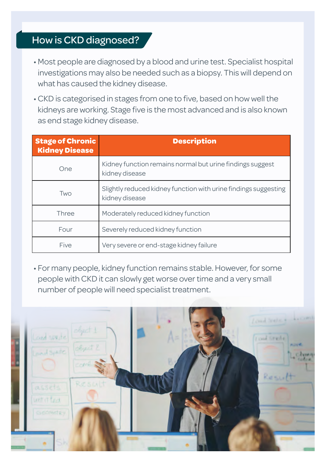# How is CKD diagnosed?

- Most people are diagnosed by a blood and urine test. Specialist hospital investigations may also be needed such as a biopsy. This will depend on what has caused the kidney disease.
- CKD is categorised in stages from one to five, based on how well the kidneys are working. Stage five is the most advanced and is also known as end stage kidney disease.

| <b>Stage of Chronic</b><br><b>Kidney Disease</b> | <b>Description</b>                                                                |
|--------------------------------------------------|-----------------------------------------------------------------------------------|
| One                                              | Kidney function remains normal but urine findings suggest<br>kidney disease       |
| Two                                              | Slightly reduced kidney function with urine findings suggesting<br>kidney disease |
| Three                                            | Moderately reduced kidney function                                                |
| Four                                             | Severely reduced kidney function                                                  |
| Five                                             | Very severe or end-stage kidney failure                                           |

• For many people, kidney function remains stable. However, for some people with CKD it can slowly get worse over time and a very small number of people will need specialist treatment.

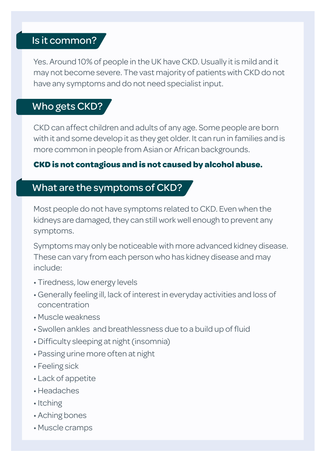# Is it common?

Yes. Around 10% of people in the UK have CKD. Usually it is mild and it may not become severe. The vast majority of patients with CKD do not have any symptoms and do not need specialist input.

## Who gets CKD?

CKD can affect children and adults of any age. Some people are born with it and some develop it as they get older. It can run in families and is more common in people from Asian or African backgrounds.

## **CKD is not contagious and is not caused by alcohol abuse.**

## What are the symptoms of CKD?

Most people do not have symptoms related to CKD. Even when the kidneys are damaged, they can still work well enough to prevent any symptoms.

Symptoms may only be noticeable with more advanced kidney disease. These can vary from each person who has kidney disease and may include:

- Tiredness, low energy levels
- Generally feeling ill, lack of interest in everyday activities and loss of concentration
- Muscle weakness
- Swollen ankles and breathlessness due to a build up of fluid
- Difficulty sleeping at night (insomnia)
- Passing urine more often at night
- Feeling sick
- Lack of appetite
- Headaches
- Itching
- Aching bones
- Muscle cramps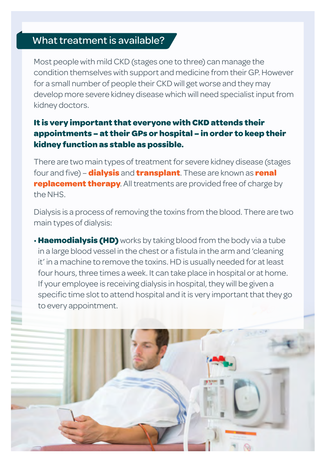# What treatment is available?

Most people with mild CKD (stages one to three) can manage the condition themselves with support and medicine from their GP. However for a small number of people their CKD will get worse and they may develop more severe kidney disease which will need specialist input from kidney doctors.

## **It is very important that everyone with CKD attends their appointments – at their GPs or hospital – in order to keep their kidney function as stable as possible.**

There are two main types of treatment for severe kidney disease (stages four and five) – **dialysis** and **transplant**. These are known as **renal replacement therapy**. All treatments are provided free of charge by the NHS.

Dialysis is a process of removing the toxins from the blood. There are two main types of dialysis:

• **Haemodialysis (HD)** works by taking blood from the body via a tube in a large blood vessel in the chest or a fistula in the arm and 'cleaning it' in a machine to remove the toxins. HD is usually needed for at least four hours, three times a week. It can take place in hospital or at home. If your employee is receiving dialysis in hospital, they will be given a specific time slot to attend hospital and it is very important that they go to every appointment.

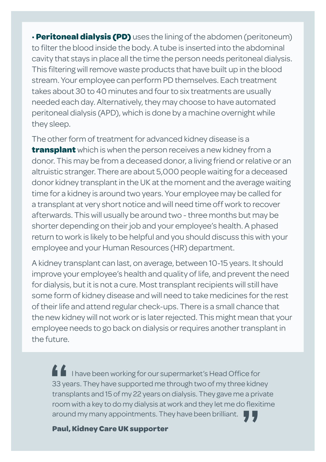• **Peritoneal dialysis (PD)** uses the lining of the abdomen (peritoneum) to filter the blood inside the body. A tube is inserted into the abdominal cavity that stays in place all the time the person needs peritoneal dialysis. This filtering will remove waste products that have built up in the blood stream. Your employee can perform PD themselves. Each treatment takes about 30 to 40 minutes and four to six treatments are usually needed each day. Alternatively, they may choose to have automated peritoneal dialysis (APD), which is done by a machine overnight while they sleep.

The other form of treatment for advanced kidney disease is a **transplant** which is when the person receives a new kidney from a donor. This may be from a deceased donor, a living friend or relative or an altruistic stranger. There are about 5,000 people waiting for a deceased donor kidney transplant in the UK at the moment and the average waiting time for a kidney is around two years. Your employee may be called for a transplant at very short notice and will need time off work to recover afterwards. This will usually be around two - three months but may be shorter depending on their job and your employee's health. A phased return to work is likely to be helpful and you should discuss this with your employee and your Human Resources (HR) department.

A kidney transplant can last, on average, between 10-15 years. It should improve your employee's health and quality of life, and prevent the need for dialysis, but it is not a cure. Most transplant recipients will still have some form of kidney disease and will need to take medicines for the rest of their life and attend regular check-ups. There is a small chance that the new kidney will not work or is later rejected. This might mean that your employee needs to go back on dialysis or requires another transplant in the future.

I have been working for our supermarket's Head Office for 33 years. They have supported me through two of my three kidney transplants and 15 of my 22 years on dialysis. They gave me a private room with a key to do my dialysis at work and they let me do flexitime around my many appointments. They have been brilliant.  $\frac{2}{33}$ ye<br>trans **"**

**Paul, Kidney Care UK supporter**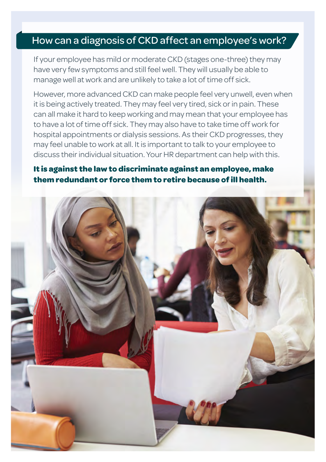## How can a diagnosis of CKD affect an employee's work?

If your employee has mild or moderate CKD (stages one-three) they may have very few symptoms and still feel well. They will usually be able to manage well at work and are unlikely to take a lot of time off sick.

However, more advanced CKD can make people feel very unwell, even when it is being actively treated. They may feel very tired, sick or in pain. These can all make it hard to keep working and may mean that your employee has to have a lot of time off sick. They may also have to take time off work for hospital appointments or dialysis sessions. As their CKD progresses, they may feel unable to work at all. It is important to talk to your employee to discuss their individual situation. Your HR department can help with this.

## **It is against the law to discriminate against an employee, make them redundant or force them to retire because of ill health.**

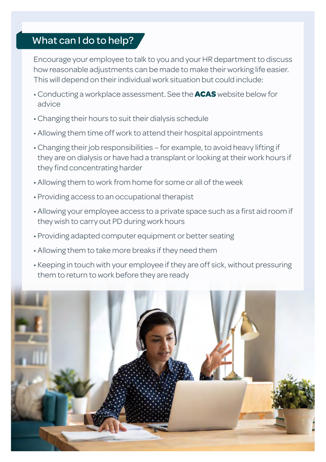# What can I do to help?

Encourage your employee to talk to you and your HR department to discuss how reasonable adjustments can be made to make their working life easier. This will depend on their individual work situation but could include:

- Conducting a workplace assessment. See the **ACAS** website below for advice
- Changing their hours to suit their dialysis schedule
- Allowing them time off work to attend their hospital appointments
- Changing their job responsibilities for example, to avoid heavy lifting if they are on dialysis or have had a transplant or looking at their work hours if they find concentrating harder
- Allowing them to work from home for some or all of the week
- Providing access to an occupational therapist
- Allowing your employee access to a private space such as a first aid room if they wish to carry out PD during work hours
- Providing adapted computer equipment or better seating
- Allowing them to take more breaks if they need them
- Keeping in touch with your employee if they are off sick, without pressuring them to return to work before they are ready

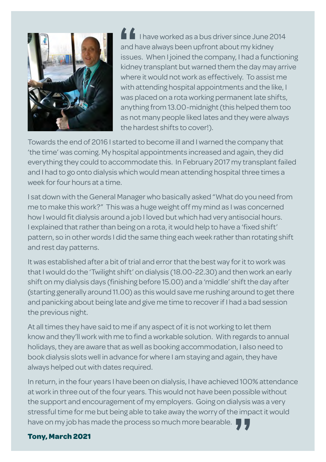

I have worked as a bus driver since June 2014 and have always been upfront about my kidney issues. When I joined the company, I had a functioning kidney transplant but warned them the day may arrive where it would not work as effectively. To assist me with attending hospital appointments and the like, I was placed on a rota working permanent late shifts, anything from 13.00-midnight (this helped them too as not many people liked lates and they were always the hardest shifts to cover!). **f**<br>and h<br>issue<br>kidne

Towards the end of 2016 I started to become ill and I warned the company that 'the time' was coming. My hospital appointments increased and again, they did everything they could to accommodate this. In February 2017 my transplant failed and I had to go onto dialysis which would mean attending hospital three times a week for four hours at a time.

I sat down with the General Manager who basically asked "What do you need from me to make this work?" This was a huge weight off my mind as I was concerned how I would fit dialysis around a job I loved but which had very antisocial hours. I explained that rather than being on a rota, it would help to have a 'fixed shift' pattern, so in other words I did the same thing each week rather than rotating shift and rest day patterns.

It was established after a bit of trial and error that the best way for it to work was that I would do the 'Twilight shift' on dialysis (18.00-22.30) and then work an early shift on my dialysis days (finishing before 15.00) and a 'middle' shift the day after (starting generally around 11.00) as this would save me rushing around to get there and panicking about being late and give me time to recover if I had a bad session the previous night.

At all times they have said to me if any aspect of it is not working to let them know and they'll work with me to find a workable solution. With regards to annual holidays, they are aware that as well as booking accommodation, I also need to book dialysis slots well in advance for where I am staying and again, they have always helped out with dates required.

In return, in the four years I have been on dialysis, I have achieved 100% attendance at work in three out of the four years. This would not have been possible without the support and encouragement of my employers. Going on dialysis was a very stressful time for me but being able to take away the worry of the impact it would have on my job has made the process so much more bearable. llysis ۱<br>e impa<br>**7 7** 

### **Tony, March 2021**